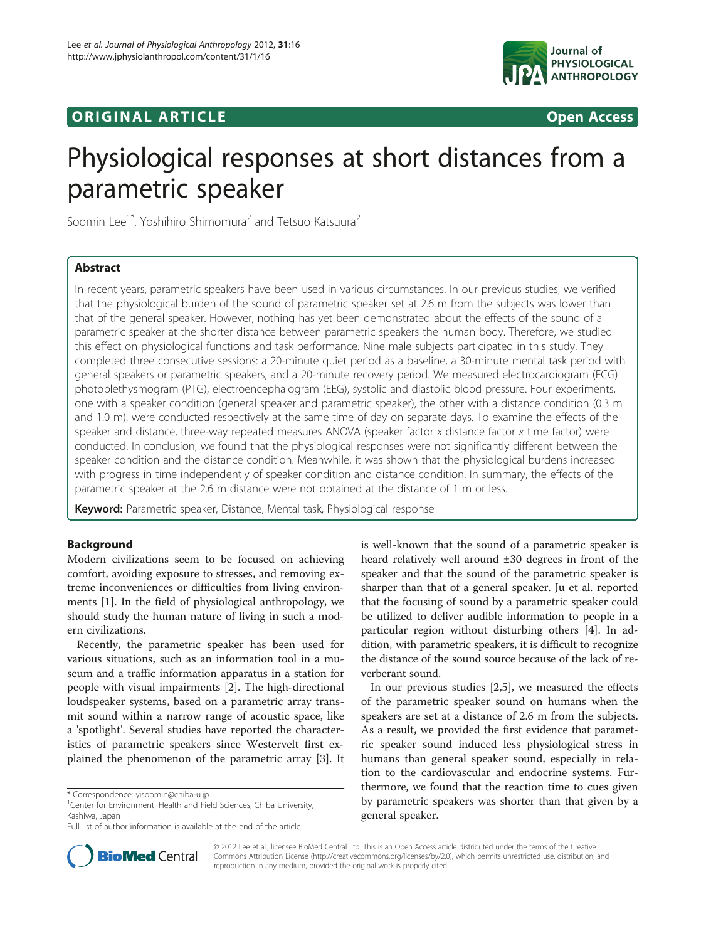# **ORIGINAL ARTICLE CONSERVANCE AND ACCESS**



# Physiological responses at short distances from a parametric speaker

Soomin Lee<sup>1\*</sup>, Yoshihiro Shimomura<sup>2</sup> and Tetsuo Katsuura<sup>2</sup>

# Abstract

In recent years, parametric speakers have been used in various circumstances. In our previous studies, we verified that the physiological burden of the sound of parametric speaker set at 2.6 m from the subjects was lower than that of the general speaker. However, nothing has yet been demonstrated about the effects of the sound of a parametric speaker at the shorter distance between parametric speakers the human body. Therefore, we studied this effect on physiological functions and task performance. Nine male subjects participated in this study. They completed three consecutive sessions: a 20-minute quiet period as a baseline, a 30-minute mental task period with general speakers or parametric speakers, and a 20-minute recovery period. We measured electrocardiogram (ECG) photoplethysmogram (PTG), electroencephalogram (EEG), systolic and diastolic blood pressure. Four experiments, one with a speaker condition (general speaker and parametric speaker), the other with a distance condition (0.3 m and 1.0 m), were conducted respectively at the same time of day on separate days. To examine the effects of the speaker and distance, three-way repeated measures ANOVA (speaker factor x distance factor x time factor) were conducted. In conclusion, we found that the physiological responses were not significantly different between the speaker condition and the distance condition. Meanwhile, it was shown that the physiological burdens increased with progress in time independently of speaker condition and distance condition. In summary, the effects of the parametric speaker at the 2.6 m distance were not obtained at the distance of 1 m or less.

Keyword: Parametric speaker, Distance, Mental task, Physiological response

# Background

Modern civilizations seem to be focused on achieving comfort, avoiding exposure to stresses, and removing extreme inconveniences or difficulties from living environments [\[1](#page-6-0)]. In the field of physiological anthropology, we should study the human nature of living in such a modern civilizations.

Recently, the parametric speaker has been used for various situations, such as an information tool in a museum and a traffic information apparatus in a station for people with visual impairments [[2](#page-6-0)]. The high-directional loudspeaker systems, based on a parametric array transmit sound within a narrow range of acoustic space, like a 'spotlight'. Several studies have reported the characteristics of parametric speakers since Westervelt first explained the phenomenon of the parametric array [[3\]](#page-6-0). It

is well-known that the sound of a parametric speaker is heard relatively well around ±30 degrees in front of the speaker and that the sound of the parametric speaker is sharper than that of a general speaker. Ju et al. reported that the focusing of sound by a parametric speaker could be utilized to deliver audible information to people in a particular region without disturbing others [[4](#page-6-0)]. In addition, with parametric speakers, it is difficult to recognize the distance of the sound source because of the lack of reverberant sound.

In our previous studies [[2,5\]](#page-6-0), we measured the effects of the parametric speaker sound on humans when the speakers are set at a distance of 2.6 m from the subjects. As a result, we provided the first evidence that parametric speaker sound induced less physiological stress in humans than general speaker sound, especially in relation to the cardiovascular and endocrine systems. Furthermore, we found that the reaction time to cues given by parametric speakers was shorter than that given by a general speaker.



© 2012 Lee et al.; licensee BioMed Central Ltd. This is an Open Access article distributed under the terms of the Creative Commons Attribution License [\(http://creativecommons.org/licenses/by/2.0\)](http://creativecommons.org/licenses/by/2.0), which permits unrestricted use, distribution, and reproduction in any medium, provided the original work is properly cited.

<sup>\*</sup> Correspondence: [yisoomin@chiba-u.jp](mailto:yisoomin@chiba--.jp) <sup>1</sup>

<sup>&</sup>lt;sup>1</sup> Center for Environment, Health and Field Sciences, Chiba University, Kashiwa, Japan

Full list of author information is available at the end of the article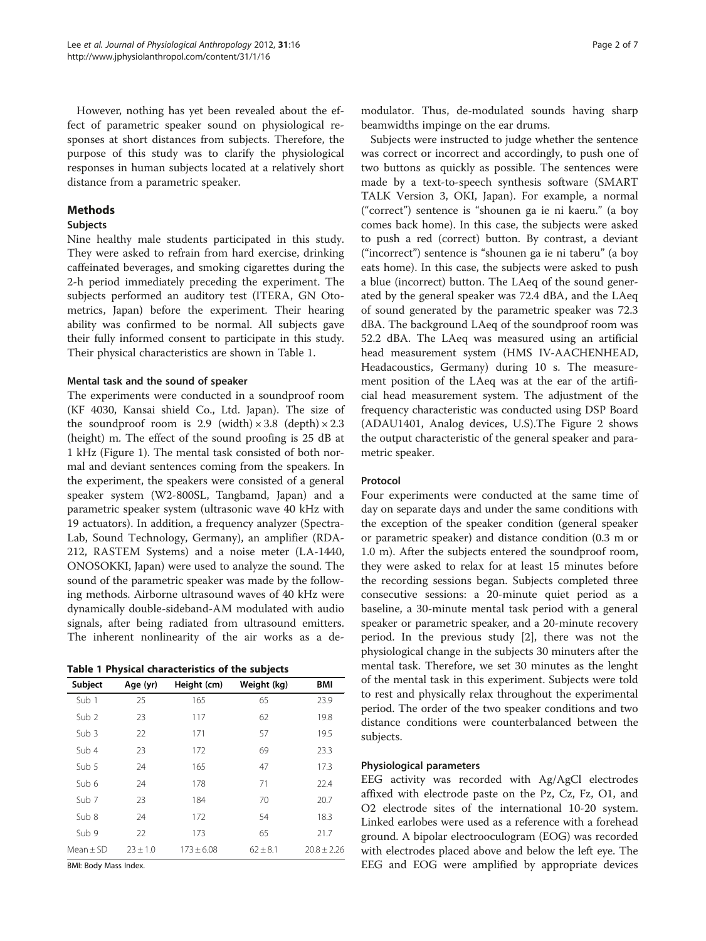However, nothing has yet been revealed about the effect of parametric speaker sound on physiological responses at short distances from subjects. Therefore, the purpose of this study was to clarify the physiological responses in human subjects located at a relatively short distance from a parametric speaker.

# Methods

# Subjects

Nine healthy male students participated in this study. They were asked to refrain from hard exercise, drinking caffeinated beverages, and smoking cigarettes during the 2-h period immediately preceding the experiment. The subjects performed an auditory test (ITERA, GN Otometrics, Japan) before the experiment. Their hearing ability was confirmed to be normal. All subjects gave their fully informed consent to participate in this study. Their physical characteristics are shown in Table 1.

## Mental task and the sound of speaker

The experiments were conducted in a soundproof room (KF 4030, Kansai shield Co., Ltd. Japan). The size of the soundproof room is 2.9 (width)  $\times$  3.8 (depth)  $\times$  2.3 (height) m. The effect of the sound proofing is 25 dB at 1 kHz (Figure [1](#page-2-0)). The mental task consisted of both normal and deviant sentences coming from the speakers. In the experiment, the speakers were consisted of a general speaker system (W2-800SL, Tangbamd, Japan) and a parametric speaker system (ultrasonic wave 40 kHz with 19 actuators). In addition, a frequency analyzer (Spectra-Lab, Sound Technology, Germany), an amplifier (RDA-212, RASTEM Systems) and a noise meter (LA-1440, ONOSOKKI, Japan) were used to analyze the sound. The sound of the parametric speaker was made by the following methods. Airborne ultrasound waves of 40 kHz were dynamically double-sideband-AM modulated with audio signals, after being radiated from ultrasound emitters. The inherent nonlinearity of the air works as a de-

|  |  |  | Table 1 Physical characteristics of the subjects |  |  |  |
|--|--|--|--------------------------------------------------|--|--|--|
|--|--|--|--------------------------------------------------|--|--|--|

| Subject          | Age (yr)     | Height (cm)    | Weight (kg)  | <b>BMI</b>      |
|------------------|--------------|----------------|--------------|-----------------|
| Sub 1            | 25           | 165            | 65           | 23.9            |
| Sub <sub>2</sub> | 23           | 117            | 62           | 19.8            |
| Sub 3            | 22           | 171            | 57           | 19.5            |
| Sub 4            | 23           | 172            | 69           | 23.3            |
| Sub 5            | 24           | 165            | 47           | 17.3            |
| Sub 6            | 24           | 178            | 71           | 22.4            |
| Sub <sub>7</sub> | 23           | 184            | 70           | 20.7            |
| Sub 8            | 24           | 172            | 54           | 18.3            |
| Sub 9            | 22           | 173            | 65           | 21.7            |
| $Mean + SD$      | $23 \pm 1.0$ | $173 \pm 6.08$ | $62 \pm 8.1$ | $20.8 \pm 2.26$ |

BMI: Body Mass Index.

modulator. Thus, de-modulated sounds having sharp beamwidths impinge on the ear drums.

Subjects were instructed to judge whether the sentence was correct or incorrect and accordingly, to push one of two buttons as quickly as possible. The sentences were made by a text-to-speech synthesis software (SMART TALK Version 3, OKI, Japan). For example, a normal ("correct") sentence is "shounen ga ie ni kaeru." (a boy comes back home). In this case, the subjects were asked to push a red (correct) button. By contrast, a deviant ("incorrect") sentence is "shounen ga ie ni taberu" (a boy eats home). In this case, the subjects were asked to push a blue (incorrect) button. The LAeq of the sound generated by the general speaker was 72.4 dBA, and the LAeq of sound generated by the parametric speaker was 72.3 dBA. The background LAeq of the soundproof room was 52.2 dBA. The LAeq was measured using an artificial head measurement system (HMS IV-AACHENHEAD, Headacoustics, Germany) during 10 s. The measurement position of the LAeq was at the ear of the artificial head measurement system. The adjustment of the frequency characteristic was conducted using DSP Board (ADAU1401, Analog devices, U.S).The Figure [2](#page-2-0) shows the output characteristic of the general speaker and parametric speaker.

# Protocol

Four experiments were conducted at the same time of day on separate days and under the same conditions with the exception of the speaker condition (general speaker or parametric speaker) and distance condition (0.3 m or 1.0 m). After the subjects entered the soundproof room, they were asked to relax for at least 15 minutes before the recording sessions began. Subjects completed three consecutive sessions: a 20-minute quiet period as a baseline, a 30-minute mental task period with a general speaker or parametric speaker, and a 20-minute recovery period. In the previous study [[2\]](#page-6-0), there was not the physiological change in the subjects 30 minuters after the mental task. Therefore, we set 30 minutes as the lenght of the mental task in this experiment. Subjects were told to rest and physically relax throughout the experimental period. The order of the two speaker conditions and two distance conditions were counterbalanced between the subjects.

# Physiological parameters

EEG activity was recorded with Ag/AgCl electrodes affixed with electrode paste on the Pz, Cz, Fz, O1, and O2 electrode sites of the international 10-20 system. Linked earlobes were used as a reference with a forehead ground. A bipolar electrooculogram (EOG) was recorded with electrodes placed above and below the left eye. The EEG and EOG were amplified by appropriate devices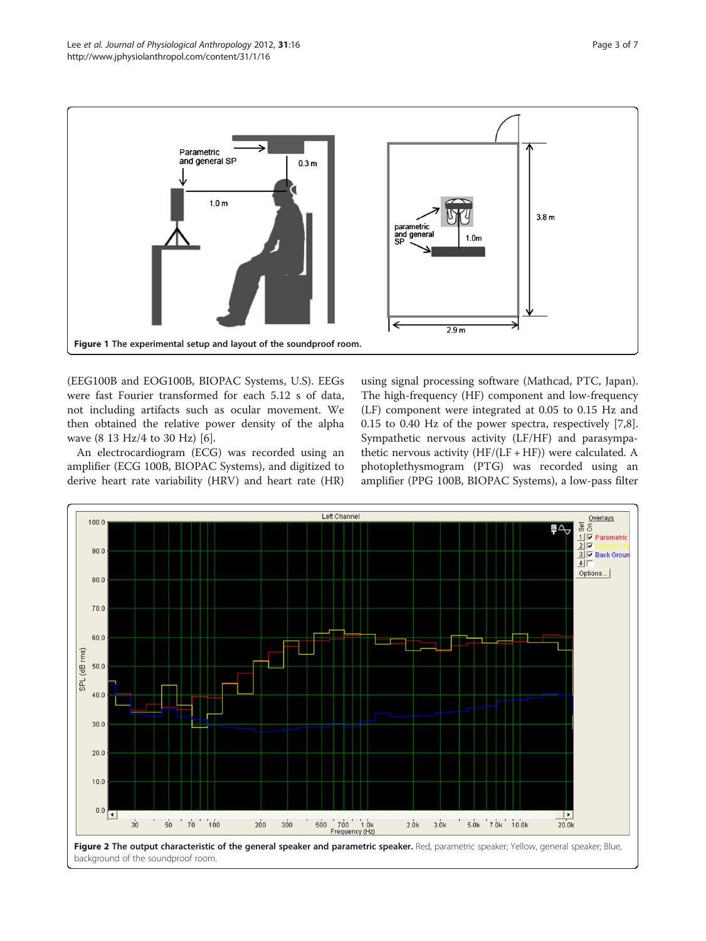<span id="page-2-0"></span>

(EEG100B and EOG100B, BIOPAC Systems, U.S). EEGs were fast Fourier transformed for each 5.12 s of data, not including artifacts such as ocular movement. We then obtained the relative power density of the alpha wave (8 13 Hz/4 to 30 Hz) [[6\]](#page-6-0).

An electrocardiogram (ECG) was recorded using an amplifier (ECG 100B, BIOPAC Systems), and digitized to derive heart rate variability (HRV) and heart rate (HR) using signal processing software (Mathcad, PTC, Japan). The high-frequency (HF) component and low-frequency (LF) component were integrated at 0.05 to 0.15 Hz and 0.15 to 0.40 Hz of the power spectra, respectively [\[7,8](#page-6-0)]. Sympathetic nervous activity (LF/HF) and parasympathetic nervous activity  $(HF/(LF + HF))$  were calculated. A photoplethysmogram (PTG) was recorded using an amplifier (PPG 100B, BIOPAC Systems), a low-pass filter

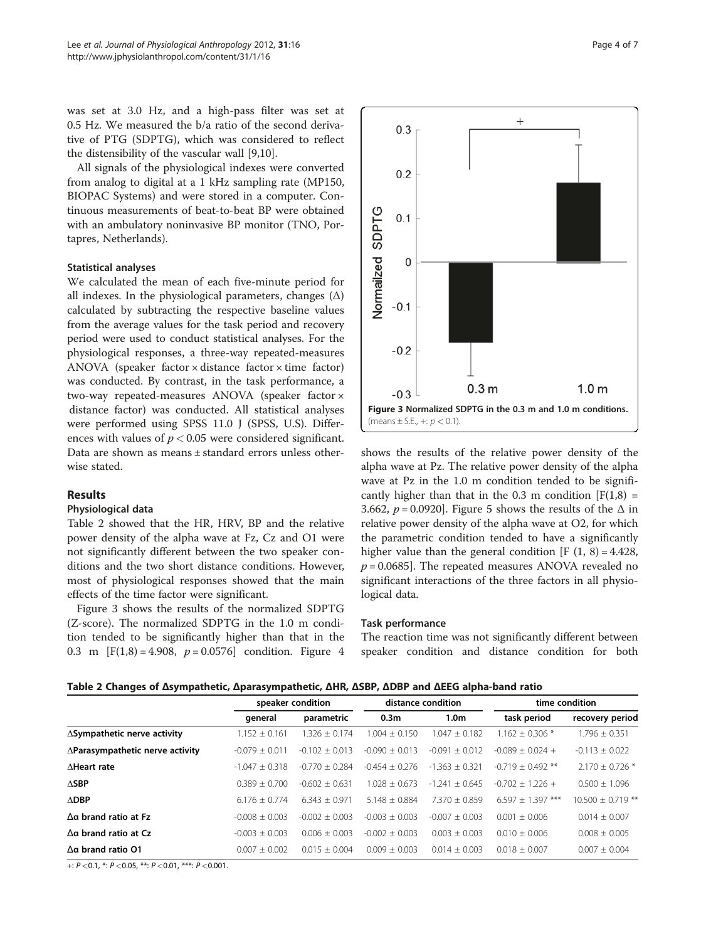was set at 3.0 Hz, and a high-pass filter was set at 0.5 Hz. We measured the b/a ratio of the second derivative of PTG (SDPTG), which was considered to reflect the distensibility of the vascular wall [\[9,10\]](#page-6-0).

All signals of the physiological indexes were converted from analog to digital at a 1 kHz sampling rate (MP150, BIOPAC Systems) and were stored in a computer. Continuous measurements of beat-to-beat BP were obtained with an ambulatory noninvasive BP monitor (TNO, Portapres, Netherlands).

# Statistical analyses

We calculated the mean of each five-minute period for all indexes. In the physiological parameters, changes  $(\Delta)$ calculated by subtracting the respective baseline values from the average values for the task period and recovery period were used to conduct statistical analyses. For the physiological responses, a three-way repeated-measures ANOVA (speaker factor  $\times$  distance factor  $\times$  time factor) was conducted. By contrast, in the task performance, a two-way repeated-measures ANOVA (speaker factor × distance factor) was conducted. All statistical analyses were performed using SPSS 11.0 J (SPSS, U.S). Differences with values of  $p < 0.05$  were considered significant. Data are shown as means ± standard errors unless otherwise stated.

# Results

#### Physiological data

Table 2 showed that the HR, HRV, BP and the relative power density of the alpha wave at Fz, Cz and O1 were not significantly different between the two speaker conditions and the two short distance conditions. However, most of physiological responses showed that the main effects of the time factor were significant.

Figure 3 shows the results of the normalized SDPTG (Z-score). The normalized SDPTG in the 1.0 m condition tended to be significantly higher than that in the 0.3 m  $[F(1,8) = 4.908, p = 0.0576]$  $[F(1,8) = 4.908, p = 0.0576]$  $[F(1,8) = 4.908, p = 0.0576]$  condition. Figure 4



shows the results of the relative power density of the alpha wave at Pz. The relative power density of the alpha wave at Pz in the 1.0 m condition tended to be significantly higher than that in the 0.3 m condition  $[F(1,8) =$ 3.662,  $p = 0.0920$ . Figure [5](#page-4-0) shows the results of the  $\Delta$  in relative power density of the alpha wave at O2, for which the parametric condition tended to have a significantly higher value than the general condition  $[F(1, 8) = 4.428]$ ,  $p = 0.0685$ ]. The repeated measures ANOVA revealed no significant interactions of the three factors in all physiological data.

#### Task performance

The reaction time was not significantly different between speaker condition and distance condition for both

Table 2 Changes of Δsympathetic, Δparasympathetic, ΔHR, ΔSBP, ΔDBP and ΔEEG alpha-band ratio

|                                         | speaker condition |                    | distance condition |                         | time condition      |                       |
|-----------------------------------------|-------------------|--------------------|--------------------|-------------------------|---------------------|-----------------------|
|                                         | general           | parametric         | 0.3 <sub>m</sub>   | 1.0 <sub>m</sub>        | task period         | recovery period       |
| ∆Sympathetic nerve activity             | $1.152 \pm 0.161$ | $.326 + 0.174$     | $1.004 + 0.150$    | $1.047 + 0.182$         | $1.162 + 0.306*$    | $1.796 \pm 0.351$     |
| $\Delta$ Parasympathetic nerve activity | $-0.079 + 0.011$  | $-0.102 \pm 0.013$ | $-0.090 + 0.013$   | $-0.091 + 0.012$        | $-0.089 + 0.024 +$  | $-0.113 + 0.022$      |
| <b>AHeart rate</b>                      | $-1.047 + 0.318$  | $-0.770 + 0.284$   | $-0.454 + 0.276$   | $1.363 + 0.321$<br>$-1$ | $-0.719 + 0.492$ ** | $2.170 + 0.726$ *     |
| $\triangle$ SBP                         | $0.389 + 0.700$   | $-0.602 + 0.631$   | $1.028 + 0.673$    | $-1.241 + 0.645$        | $-0.702 + 1.226 +$  | $0.500 + 1.096$       |
| $\triangle$ DBP                         | $6.176 + 0.774$   | $6.343 + 0.971$    | $5.148 + 0.884$    | $7.370 + 0.859$         | $6.597 + 1.397$ *** | $10.500 \pm 0.719$ ** |
| $\Delta$ a brand ratio at Fz            | $-0.008 + 0.003$  | $-0.002 + 0.003$   | $-0.003 \pm 0.003$ | $-0.007 + 0.003$        | $0.001 + 0.006$     | $0.014 + 0.007$       |
| $\Delta$ a brand ratio at Cz            | $-0.003 + 0.003$  | $0.006 + 0.003$    | $-0.002 + 0.003$   | $0.003 + 0.003$         | $0.010 + 0.006$     | $0.008 + 0.005$       |
| $\Delta$ a brand ratio 01               | $0.007 \pm 0.002$ | $0.015 \pm 0.004$  | $0.009 \pm 0.003$  | $0.014 + 0.003$         | $0.018 + 0.007$     | $0.007 \pm 0.004$     |

+:  $P < 0.1$ ,  $* : P < 0.05$ ,  $** : P < 0.01$ ,  $*** : P < 0.001$ .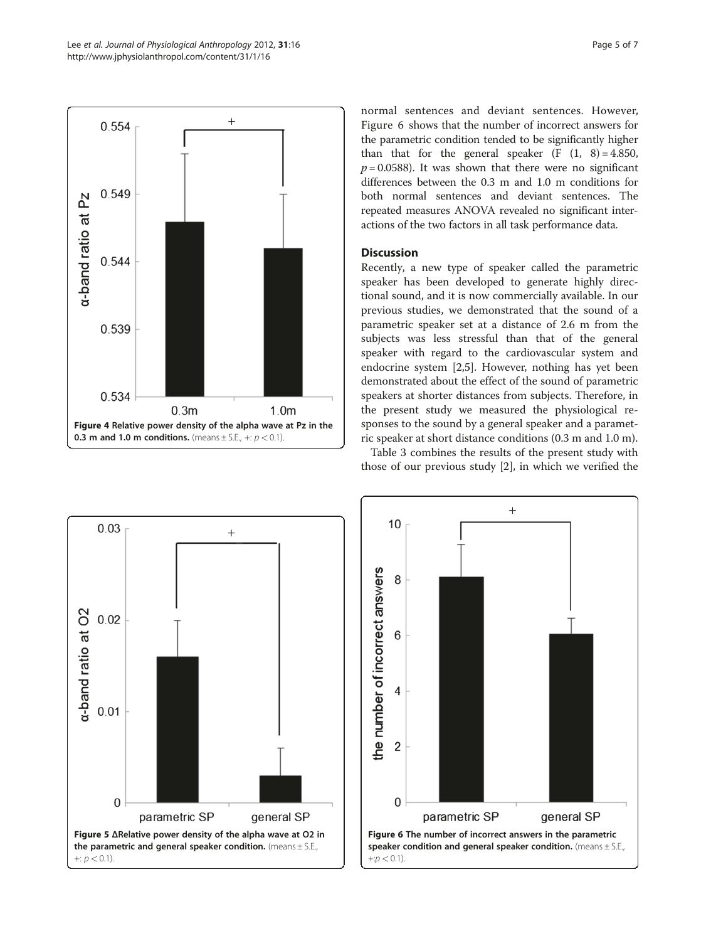<span id="page-4-0"></span>

normal sentences and deviant sentences. However, Figure 6 shows that the number of incorrect answers for the parametric condition tended to be significantly higher than that for the general speaker  $(F (1, 8) = 4.850,$  $p = 0.0588$ ). It was shown that there were no significant differences between the 0.3 m and 1.0 m conditions for both normal sentences and deviant sentences. The repeated measures ANOVA revealed no significant interactions of the two factors in all task performance data.

# **Discussion**

Recently, a new type of speaker called the parametric speaker has been developed to generate highly directional sound, and it is now commercially available. In our previous studies, we demonstrated that the sound of a parametric speaker set at a distance of 2.6 m from the subjects was less stressful than that of the general speaker with regard to the cardiovascular system and endocrine system [[2,5\]](#page-6-0). However, nothing has yet been demonstrated about the effect of the sound of parametric speakers at shorter distances from subjects. Therefore, in the present study we measured the physiological responses to the sound by a general speaker and a parametric speaker at short distance conditions (0.3 m and 1.0 m).

Table [3](#page-5-0) combines the results of the present study with those of our previous study [[2\]](#page-6-0), in which we verified the



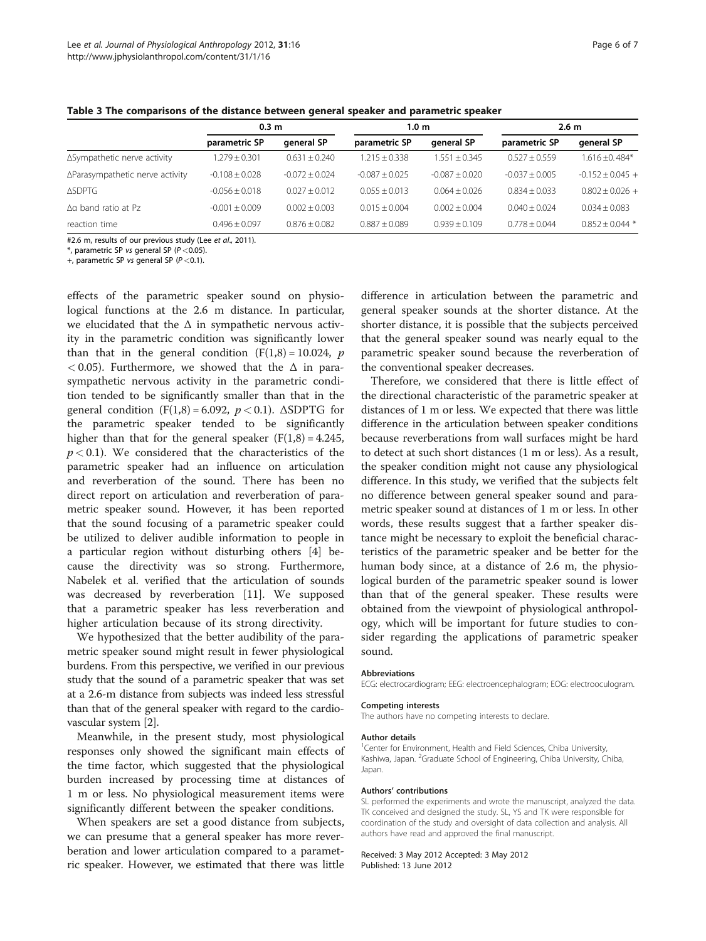| 0.3 m         |            | 1.0 m         | 2.6 m      |               |  |
|---------------|------------|---------------|------------|---------------|--|
| parametric SP | general SP | parametric SP | general SP | parametric SP |  |

<span id="page-5-0"></span>Table 3 The comparisons of the distance between general speaker and parametric speaker

|                                 | parametric SP      | general SP       | parametric SP    | general SP       | parametric SP    | general SP         |  |
|---------------------------------|--------------------|------------------|------------------|------------------|------------------|--------------------|--|
| ∆Sympathetic nerve activity     | $1.279 + 0.301$    | $0.631 + 0.240$  | $1.215 + 0.338$  | $1.551 + 0.345$  | $0.527 + 0.559$  | $1.616 + 0.484*$   |  |
| ∆Parasympathetic nerve activity | $-0.108 \pm 0.028$ | $-0.072 + 0.024$ | $-0.087 + 0.025$ | $-0.087 + 0.020$ | $-0.037 + 0.005$ | $-0.152 + 0.045 +$ |  |
| ∆SDPTG                          | $-0.056 + 0.018$   | $0.027 + 0.012$  | $0.055 + 0.013$  | $0.064 + 0.026$  | $0.834 + 0.033$  | $0.802 + 0.026 +$  |  |
| ∆a band ratio at Pz             | $-0.001 + 0.009$   | $0.002 + 0.003$  | $0.015 + 0.004$  | $0.002 + 0.004$  | $0.040 + 0.024$  | $0.034 + 0.083$    |  |
| reaction time                   | $0.496 + 0.097$    | $0.876 + 0.082$  | $0.887 + 0.089$  | $0.939 + 0.109$  | $0.778 + 0.044$  | $0.852 + 0.044$ *  |  |

#2.6 m, results of our previous study (Lee et al., 2011).

 $*$ , parametric SP vs general SP ( $P < 0.05$ ).

+, parametric SP vs general SP ( $P < 0.1$ ).

effects of the parametric speaker sound on physiological functions at the 2.6 m distance. In particular, we elucidated that the  $\Delta$  in sympathetic nervous activity in the parametric condition was significantly lower than that in the general condition  $(F(1,8) = 10.024, p)$  $< 0.05$ ). Furthermore, we showed that the  $\Delta$  in parasympathetic nervous activity in the parametric condition tended to be significantly smaller than that in the general condition  $(F(1,8) = 6.092, p < 0.1)$ .  $\triangle SDPTG$  for the parametric speaker tended to be significantly higher than that for the general speaker  $(F(1,8) = 4.245,$  $p < 0.1$ ). We considered that the characteristics of the parametric speaker had an influence on articulation and reverberation of the sound. There has been no direct report on articulation and reverberation of parametric speaker sound. However, it has been reported that the sound focusing of a parametric speaker could be utilized to deliver audible information to people in a particular region without disturbing others [\[4](#page-6-0)] because the directivity was so strong. Furthermore, Nabelek et al. verified that the articulation of sounds was decreased by reverberation [\[11](#page-6-0)]. We supposed that a parametric speaker has less reverberation and higher articulation because of its strong directivity.

We hypothesized that the better audibility of the parametric speaker sound might result in fewer physiological burdens. From this perspective, we verified in our previous study that the sound of a parametric speaker that was set at a 2.6-m distance from subjects was indeed less stressful than that of the general speaker with regard to the cardiovascular system [\[2\]](#page-6-0).

Meanwhile, in the present study, most physiological responses only showed the significant main effects of the time factor, which suggested that the physiological burden increased by processing time at distances of 1 m or less. No physiological measurement items were significantly different between the speaker conditions.

When speakers are set a good distance from subjects, we can presume that a general speaker has more reverberation and lower articulation compared to a parametric speaker. However, we estimated that there was little

difference in articulation between the parametric and general speaker sounds at the shorter distance. At the shorter distance, it is possible that the subjects perceived that the general speaker sound was nearly equal to the parametric speaker sound because the reverberation of the conventional speaker decreases.

Therefore, we considered that there is little effect of the directional characteristic of the parametric speaker at distances of 1 m or less. We expected that there was little difference in the articulation between speaker conditions because reverberations from wall surfaces might be hard to detect at such short distances (1 m or less). As a result, the speaker condition might not cause any physiological difference. In this study, we verified that the subjects felt no difference between general speaker sound and parametric speaker sound at distances of 1 m or less. In other words, these results suggest that a farther speaker distance might be necessary to exploit the beneficial characteristics of the parametric speaker and be better for the human body since, at a distance of 2.6 m, the physiological burden of the parametric speaker sound is lower than that of the general speaker. These results were obtained from the viewpoint of physiological anthropology, which will be important for future studies to consider regarding the applications of parametric speaker sound.

#### Abbreviations

ECG: electrocardiogram; EEG: electroencephalogram; EOG: electrooculogram.

#### Competing interests

The authors have no competing interests to declare.

## Author details

<sup>1</sup> Center for Environment, Health and Field Sciences, Chiba University Kashiwa, Japan. <sup>2</sup>Graduate School of Engineering, Chiba University, Chiba, Japan.

#### Authors' contributions

SL performed the experiments and wrote the manuscript, analyzed the data. TK conceived and designed the study. SL, YS and TK were responsible for coordination of the study and oversight of data collection and analysis. All authors have read and approved the final manuscript.

#### Received: 3 May 2012 Accepted: 3 May 2012 Published: 13 June 2012